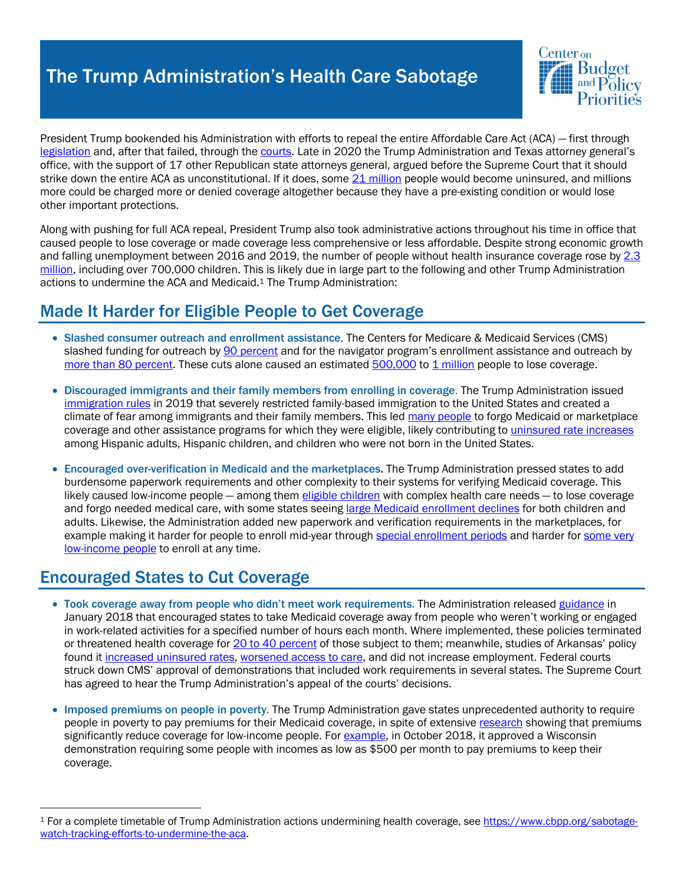# The Trump Administration's Health Care Sabotage



President Trump bookended his Administration with efforts to repeal the entire Affordable Care Act (ACA) — first through legislation and, after that failed, through the courts. Late in 2020 the Trump Administration and Texas attorney general's office, with the support of 17 other Republican state attorneys general, argued before the Supreme Court that it should strike down the entire ACA as unconstitutional. If it does, some  $21$  million people would become uninsured, and millions more could be charged more or denied coverage altogether because they have a pre-existing condition or would lose other important protections.

Along with pushing for full ACA repeal, President Trump also took administrative actions throughout his time in office that caused people to lose coverage or made coverage less comprehensive or less affordable. Despite strong economic growth and falling unemployment between 2016 and 2019, the number of people without health insurance coverage rose by 2.3 million, including over 700,000 children. This is likely due in large part to the following and other Trump Administration actions to undermine the ACA and Medicaid.1 The Trump Administration:

### Made It Harder for Eligible People to Get Coverage

- Slashed consumer outreach and enrollment assistance. The Centers for Medicare & Medicaid Services (CMS) slashed funding for outreach by 90 percent and for the navigator program's enrollment assistance and outreach by more than 80 percent. These cuts alone caused an estimated  $500,000$  to 1 million people to lose coverage.
- Discouraged immigrants and their family members from enrolling in coverage. The Trump Administration issued immigration rules in 2019 that severely restricted family-based immigration to the United States and created a climate of fear among immigrants and their family members. This led many people to forgo Medicaid or marketplace coverage and other assistance programs for which they were eligible, likely contributing to uninsured rate increases among Hispanic adults, Hispanic children, and children who were not born in the United States.
- Encouraged over-verification in Medicaid and the marketplaces. The Trump Administration pressed states to add burdensome paperwork requirements and other complexity to their systems for verifying Medicaid coverage. This likely caused low-income people — among them eligible children with complex health care needs — to lose coverage and forgo needed medical care, with some states seeing large Medicaid enrollment declines for both children and adults. Likewise, the Administration added new paperwork and verification requirements in the marketplaces, for example making it harder for people to enroll mid-year through special enrollment periods and harder for some very low-income people to enroll at any time.

### Encouraged States to Cut Coverage

- Took coverage away from people who didn't meet work requirements. The Administration released guidance in January 2018 that encouraged states to take Medicaid coverage away from people who weren't working or engaged in work-related activities for a specified number of hours each month. Where implemented, these policies terminated or threatened health coverage for 20 to 40 percent of those subject to them; meanwhile, studies of Arkansas' policy found it increased uninsured rates, worsened access to care, and did not increase employment. Federal courts struck down CMS' approval of demonstrations that included work requirements in several states. The Supreme Court has agreed to hear the Trump Administration's appeal of the courts' decisions.
- Imposed premiums on people in poverty. The Trump Administration gave states unprecedented authority to require people in poverty to pay premiums for their Medicaid coverage, in spite of extensive research showing that premiums significantly reduce coverage for low-income people. For example, in October 2018, it approved a Wisconsin demonstration requiring some people with incomes as low as \$500 per month to pay premiums to keep their coverage.

<sup>1</sup> For a complete timetable of Trump Administration actions undermining health coverage, see https://www.cbpp.org/sabotagewatch-tracking-efforts-to-undermine-the-aca.